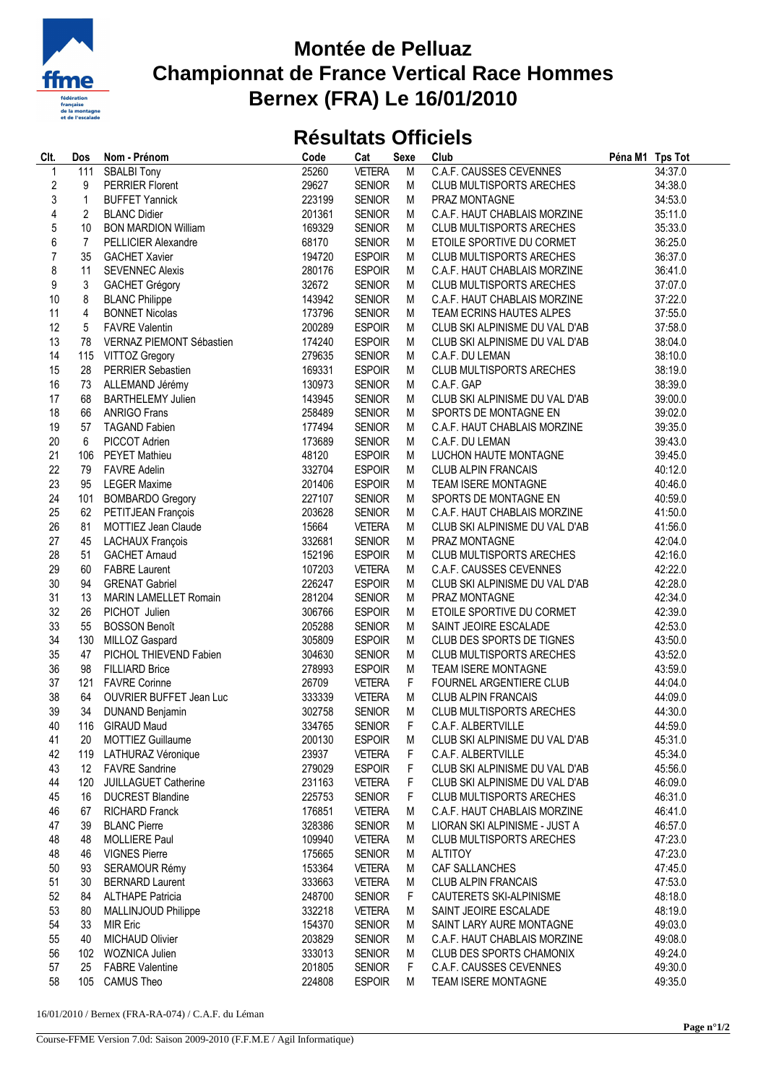

## **Montée de Pelluaz Championnat de France Vertical Race Hommes Bernex (FRA) Le 16/01/2010**

## **Résultats Officiels**

| Clt.             | Dos                     | Nom - Prénom                   | Code   | Cat           | Sexe | Club                            | Péna M1 Tps Tot |
|------------------|-------------------------|--------------------------------|--------|---------------|------|---------------------------------|-----------------|
| $\mathbf 1$      | 111                     | <b>SBALBI Tony</b>             | 25260  | <b>VETERA</b> | M    | <b>C.A.F. CAUSSES CEVENNES</b>  | 34:37.0         |
| $\overline{c}$   | 9                       | <b>PERRIER Florent</b>         | 29627  | <b>SENIOR</b> | М    | <b>CLUB MULTISPORTS ARECHES</b> | 34:38.0         |
| 3                | $\mathbf{1}$            | <b>BUFFET Yannick</b>          | 223199 | <b>SENIOR</b> | М    | PRAZ MONTAGNE                   | 34:53.0         |
| $\sqrt{4}$       | $\overline{c}$          | <b>BLANC Didier</b>            | 201361 | <b>SENIOR</b> | М    | C.A.F. HAUT CHABLAIS MORZINE    | 35:11.0         |
| 5                | 10                      | <b>BON MARDION William</b>     | 169329 | <b>SENIOR</b> | М    | <b>CLUB MULTISPORTS ARECHES</b> | 35:33.0         |
| $\boldsymbol{6}$ | $\overline{7}$          | PELLICIER Alexandre            | 68170  | <b>SENIOR</b> | М    | ETOILE SPORTIVE DU CORMET       | 36:25.0         |
| $\boldsymbol{7}$ | 35                      | <b>GACHET Xavier</b>           | 194720 | <b>ESPOIR</b> | M    | <b>CLUB MULTISPORTS ARECHES</b> | 36:37.0         |
| 8                | 11                      | <b>SEVENNEC Alexis</b>         | 280176 | <b>ESPOIR</b> | М    | C.A.F. HAUT CHABLAIS MORZINE    | 36:41.0         |
| 9                | 3                       | <b>GACHET Grégory</b>          | 32672  | <b>SENIOR</b> | М    | <b>CLUB MULTISPORTS ARECHES</b> | 37:07.0         |
| 10               | 8                       | <b>BLANC Philippe</b>          | 143942 | <b>SENIOR</b> | М    | C.A.F. HAUT CHABLAIS MORZINE    | 37:22.0         |
| 11               | $\overline{\mathbf{4}}$ | <b>BONNET Nicolas</b>          | 173796 | <b>SENIOR</b> | М    | TEAM ECRINS HAUTES ALPES        | 37:55.0         |
| 12               | 5                       | <b>FAVRE Valentin</b>          | 200289 | <b>ESPOIR</b> | М    | CLUB SKI ALPINISME DU VAL D'AB  | 37:58.0         |
| 13               | 78                      | VERNAZ PIEMONT Sébastien       | 174240 | <b>ESPOIR</b> | М    | CLUB SKI ALPINISME DU VAL D'AB  | 38:04.0         |
| 14               | 115                     | <b>VITTOZ Gregory</b>          | 279635 | <b>SENIOR</b> | M    | C.A.F. DU LEMAN                 | 38:10.0         |
| 15               | 28                      | PERRIER Sebastien              | 169331 | <b>ESPOIR</b> |      | <b>CLUB MULTISPORTS ARECHES</b> | 38:19.0         |
| 16               |                         |                                |        |               | M    |                                 |                 |
|                  | 73                      | ALLEMAND Jérémy                | 130973 | <b>SENIOR</b> | М    | C.A.F. GAP                      | 38:39.0         |
| 17               | 68                      | <b>BARTHELEMY Julien</b>       | 143945 | <b>SENIOR</b> | М    | CLUB SKI ALPINISME DU VAL D'AB  | 39:00.0         |
| 18               | 66                      | <b>ANRIGO Frans</b>            | 258489 | <b>SENIOR</b> | М    | SPORTS DE MONTAGNE EN           | 39:02.0         |
| 19               | 57                      | <b>TAGAND Fabien</b>           | 177494 | <b>SENIOR</b> | М    | C.A.F. HAUT CHABLAIS MORZINE    | 39:35.0         |
| 20               | 6                       | PICCOT Adrien                  | 173689 | <b>SENIOR</b> | М    | C.A.F. DU LEMAN                 | 39:43.0         |
| 21               | 106                     | PEYET Mathieu                  | 48120  | <b>ESPOIR</b> | М    | LUCHON HAUTE MONTAGNE           | 39:45.0         |
| 22               | 79                      | <b>FAVRE Adelin</b>            | 332704 | <b>ESPOIR</b> | М    | <b>CLUB ALPIN FRANCAIS</b>      | 40:12.0         |
| 23               | 95                      | <b>LEGER Maxime</b>            | 201406 | <b>ESPOIR</b> | М    | TEAM ISERE MONTAGNE             | 40:46.0         |
| 24               | 101                     | <b>BOMBARDO Gregory</b>        | 227107 | <b>SENIOR</b> | М    | SPORTS DE MONTAGNE EN           | 40:59.0         |
| 25               | 62                      | PETITJEAN François             | 203628 | <b>SENIOR</b> | М    | C.A.F. HAUT CHABLAIS MORZINE    | 41:50.0         |
| 26               | 81                      | MOTTIEZ Jean Claude            | 15664  | <b>VETERA</b> | М    | CLUB SKI ALPINISME DU VAL D'AB  | 41:56.0         |
| 27               | 45                      | <b>LACHAUX François</b>        | 332681 | <b>SENIOR</b> | М    | PRAZ MONTAGNE                   | 42:04.0         |
| 28               | 51                      | <b>GACHET Arnaud</b>           | 152196 | <b>ESPOIR</b> | М    | <b>CLUB MULTISPORTS ARECHES</b> | 42:16.0         |
| 29               | 60                      | <b>FABRE Laurent</b>           | 107203 | <b>VETERA</b> | М    | <b>C.A.F. CAUSSES CEVENNES</b>  | 42:22.0         |
| 30               | 94                      | <b>GRENAT Gabriel</b>          | 226247 | <b>ESPOIR</b> | М    | CLUB SKI ALPINISME DU VAL D'AB  | 42:28.0         |
| 31               | 13                      | <b>MARIN LAMELLET Romain</b>   | 281204 | <b>SENIOR</b> | М    | PRAZ MONTAGNE                   | 42:34.0         |
| 32               | 26                      | PICHOT Julien                  | 306766 | <b>ESPOIR</b> | М    | ETOILE SPORTIVE DU CORMET       | 42:39.0         |
| 33               | 55                      | <b>BOSSON Benoît</b>           | 205288 | <b>SENIOR</b> | М    | SAINT JEOIRE ESCALADE           | 42:53.0         |
| 34               | 130                     | MILLOZ Gaspard                 | 305809 | <b>ESPOIR</b> | М    | CLUB DES SPORTS DE TIGNES       | 43:50.0         |
| 35               | 47                      | PICHOL THIEVEND Fabien         | 304630 | <b>SENIOR</b> | М    | <b>CLUB MULTISPORTS ARECHES</b> | 43:52.0         |
| 36               | 98                      | <b>FILLIARD Brice</b>          | 278993 | <b>ESPOIR</b> | М    | <b>TEAM ISERE MONTAGNE</b>      | 43:59.0         |
| 37               | 121                     | <b>FAVRE Corinne</b>           | 26709  | <b>VETERA</b> | F.   | FOURNEL ARGENTIERE CLUB         | 44:04.0         |
| 38               | 64                      | <b>OUVRIER BUFFET Jean Luc</b> | 333339 | <b>VETERA</b> | М    | <b>CLUB ALPIN FRANCAIS</b>      | 44:09.0         |
| 39               | 34                      | <b>DUNAND Benjamin</b>         | 302758 | <b>SENIOR</b> | М    | <b>CLUB MULTISPORTS ARECHES</b> | 44:30.0         |
| 40               |                         | 116 GIRAUD Maud                | 334765 | <b>SENIOR</b> |      | F C.A.F. ALBERTVILLE            | 44:59.0         |
| 41               | 20                      | <b>MOTTIEZ Guillaume</b>       | 200130 | <b>ESPOIR</b> | M    | CLUB SKI ALPINISME DU VAL D'AB  | 45:31.0         |
| 42               |                         | 119 LATHURAZ Véronique         | 23937  | <b>VETERA</b> | F    | C.A.F. ALBERTVILLE              | 45:34.0         |
| 43               | 12                      | <b>FAVRE Sandrine</b>          | 279029 | <b>ESPOIR</b> | F    | CLUB SKI ALPINISME DU VAL D'AB  | 45:56.0         |
| 44               | 120                     | JUILLAGUET Catherine           | 231163 | <b>VETERA</b> | F    | CLUB SKI ALPINISME DU VAL D'AB  | 46:09.0         |
| 45               | 16                      | <b>DUCREST Blandine</b>        | 225753 | <b>SENIOR</b> | F    | <b>CLUB MULTISPORTS ARECHES</b> | 46:31.0         |
| 46               | 67                      | <b>RICHARD Franck</b>          | 176851 | <b>VETERA</b> | М    | C.A.F. HAUT CHABLAIS MORZINE    | 46:41.0         |
| 47               | 39                      | <b>BLANC Pierre</b>            | 328386 | <b>SENIOR</b> | M    | LIORAN SKI ALPINISME - JUST A   | 46:57.0         |
| 48               | 48                      | <b>MOLLIERE Paul</b>           | 109940 | <b>VETERA</b> |      | CLUB MULTISPORTS ARECHES        | 47:23.0         |
| 48               | 46                      | <b>VIGNES Pierre</b>           | 175665 |               | M    |                                 |                 |
|                  |                         |                                |        | <b>SENIOR</b> | М    | <b>ALTITOY</b>                  | 47:23.0         |
| 50               | 93                      | SERAMOUR Rémy                  | 153364 | <b>VETERA</b> | M    | CAF SALLANCHES                  | 47:45.0         |
| 51               | 30                      | <b>BERNARD Laurent</b>         | 333663 | <b>VETERA</b> | М    | <b>CLUB ALPIN FRANCAIS</b>      | 47:53.0         |
| 52               | 84                      | <b>ALTHAPE Patricia</b>        | 248700 | <b>SENIOR</b> | F    | CAUTERETS SKI-ALPINISME         | 48:18.0         |
| 53               | 80                      | MALLINJOUD Philippe            | 332218 | <b>VETERA</b> | M    | SAINT JEOIRE ESCALADE           | 48:19.0         |
| 54               | 33                      | <b>MIR Eric</b>                | 154370 | <b>SENIOR</b> | M    | SAINT LARY AURE MONTAGNE        | 49:03.0         |
| 55               | 40                      | <b>MICHAUD Olivier</b>         | 203829 | <b>SENIOR</b> | M    | C.A.F. HAUT CHABLAIS MORZINE    | 49:08.0         |
| 56               |                         | 102 WOZNICA Julien             | 333013 | <b>SENIOR</b> | M    | CLUB DES SPORTS CHAMONIX        | 49:24.0         |
| 57               | 25                      | <b>FABRE Valentine</b>         | 201805 | <b>SENIOR</b> | F    | C.A.F. CAUSSES CEVENNES         | 49:30.0         |
| 58               |                         | 105 CAMUS Theo                 | 224808 | <b>ESPOIR</b> | М    | TEAM ISERE MONTAGNE             | 49:35.0         |

16/01/2010 / Bernex (FRA-RA-074) / C.A.F. du Léman